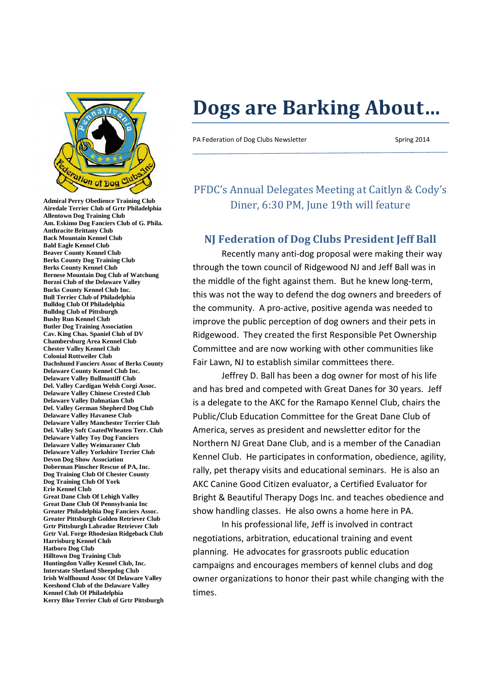

**Admiral Perry Obedience Training Club Airedale Terrier Club of Grtr Philadelphia Allentown Dog Training Club Am. Eskimo Dog Fanciers Club of G. Phila. Anthracite Brittany Club Back Mountain Kennel Club Bald Eagle Kennel Club Beaver County Kennel Club Berks County Dog Training Club Berks County Kennel Club Bernese Mountain Dog Club of Watchung Borzoi Club of the Delaware Valley Bucks County Kennel Club Inc. Bull Terrier Club of Philadelphia Bulldog Club Of Philadelphia Bulldog Club of Pittsburgh Bushy Run Kennel Club Butler Dog Training Association Cav. King Chas. Spaniel Club of DV Chambersburg Area Kennel Club Chester Valley Kennel Club Colonial Rottweiler Club Dachshund Fanciers Assoc of Berks County Delaware County Kennel Club Inc. Delaware Valley Bullmastiff Club Del. Valley Cardigan Welsh Corgi Assoc. Delaware Valley Chinese Crested Club Delaware Valley Dalmatian Club Del. Valley German Shepherd Dog Club Delaware Valley Havanese Club Delaware Valley Manchester Terrier Club Del. Valley Soft CoatedWheaten Terr. Club Delaware Valley Toy Dog Fanciers Delaware Valley Weimaraner Club Delaware Valley Yorkshire Terrier Club Devon Dog Show Association Doberman Pinscher Rescue of PA, Inc. Dog Training Club Of Chester County Dog Training Club Of York Erie Kennel Club Great Dane Club Of Lehigh Valley Great Dane Club Of Pennsylvania Inc Greater Philadelphia Dog Fanciers Assoc. Greater Pittsburgh Golden Retriever Club Grtr Pittsburgh Labrador Retriever Club Grtr Val. Forge Rhodesian Ridgeback Club Harrisburg Kennel Club Hatboro Dog Club Hilltown Dog Training Club Huntingdon Valley Kennel Club, Inc. Interstate Shetland Sheepdog Club Irish Wolfhound Assoc Of Delaware Valley Keeshond Club of the Delaware Valley Kennel Club Of Philadelphia Kerry Blue Terrier Club of Grtr Pittsburgh**

# **Dogs are Barking About…**

PA Federation of Dog Clubs Newsletter Spring 2014

PFDC's Annual Delegates Meeting at Caitlyn & Cody's Diner, 6:30 PM, June 19th will feature

#### **NJ Federation of Dog Clubs President Jeff Ball**

Recently many anti-dog proposal were making their way through the town council of Ridgewood NJ and Jeff Ball was in the middle of the fight against them. But he knew long-term, this was not the way to defend the dog owners and breeders of the community. A pro-active, positive agenda was needed to improve the public perception of dog owners and their pets in Ridgewood. They created the first Responsible Pet Ownership Committee and are now working with other communities like Fair Lawn, NJ to establish similar committees there.

Jeffrey D. Ball has been a dog owner for most of his life and has bred and competed with Great Danes for 30 years. Jeff is a delegate to the AKC for the Ramapo Kennel Club, chairs the Public/Club Education Committee for the Great Dane Club of America, serves as president and newsletter editor for the Northern NJ Great Dane Club, and is a member of the Canadian Kennel Club. He participates in conformation, obedience, agility, rally, pet therapy visits and educational seminars. He is also an AKC Canine Good Citizen evaluator, a Certified Evaluator for Bright & Beautiful Therapy Dogs Inc. and teaches obedience and show handling classes. He also owns a home here in PA.

In his professional life, Jeff is involved in contract negotiations, arbitration, educational training and event planning. He advocates for grassroots public education campaigns and encourages members of kennel clubs and dog owner organizations to honor their past while changing with the times.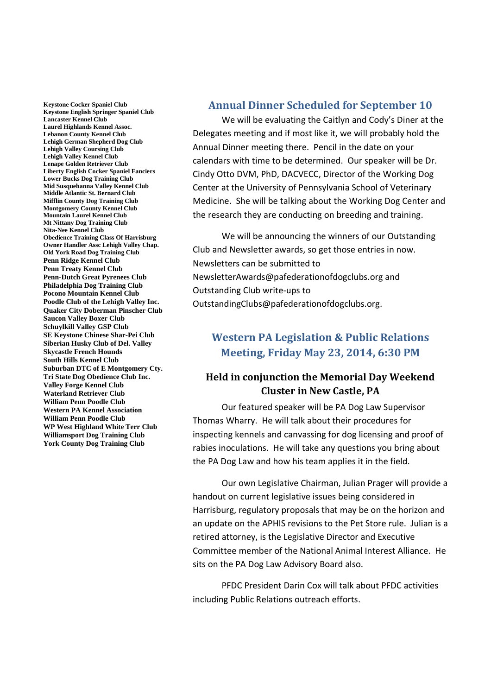**Keystone Cocker Spaniel Club Keystone English Springer Spaniel Club Lancaster Kennel Club Laurel Highlands Kennel Assoc. Lebanon County Kennel Club Lehigh German Shepherd Dog Club Lehigh Valley Coursing Club Lehigh Valley Kennel Club Lenape Golden Retriever Club Liberty English Cocker Spaniel Fanciers Lower Bucks Dog Training Club Mid Susquehanna Valley Kennel Club Middle Atlantic St. Bernard Club Mifflin County Dog Training Club Montgomery County Kennel Club Mountain Laurel Kennel Club Mt Nittany Dog Training Club Nita-Nee Kennel Club Obedience Training Class Of Harrisburg Owner Handler Assc Lehigh Valley Chap. Old York Road Dog Training Club Penn Ridge Kennel Club Penn Treaty Kennel Club Penn-Dutch Great Pyrenees Club Philadelphia Dog Training Club Pocono Mountain Kennel Club Poodle Club of the Lehigh Valley Inc. Quaker City Doberman Pinscher Club Saucon Valley Boxer Club Schuylkill Valley GSP Club SE Keystone Chinese Shar-Pei Club Siberian Husky Club of Del. Valley Skycastle French Hounds South Hills Kennel Club Suburban DTC of E Montgomery Cty. Tri State Dog Obedience Club Inc. Valley Forge Kennel Club Waterland Retriever Club William Penn Poodle Club Western PA Kennel Association William Penn Poodle Club WP West Highland White Terr Club Williamsport Dog Training Club York County Dog Training Club**

#### **Annual Dinner Scheduled for September 10**

We will be evaluating the Caitlyn and Cody's Diner at the Delegates meeting and if most like it, we will probably hold the Annual Dinner meeting there. Pencil in the date on your calendars with time to be determined. Our speaker will be Dr. Cindy Otto DVM, PhD, DACVECC, Director of the Working Dog Center at the University of Pennsylvania School of Veterinary Medicine. She will be talking about the Working Dog Center and the research they are conducting on breeding and training.

We will be announcing the winners of our Outstanding Club and Newsletter awards, so get those entries in now. Newsletters can be submitted to NewsletterAwards@pafederationofdogclubs.org and Outstanding Club write-ups to OutstandingClubs@pafederationofdogclubs.org.

## **Western PA Legislation & Public Relations Meeting, Friday May 23, 2014, 6:30 PM**

### **Held in conjunction the Memorial Day Weekend Cluster in New Castle, PA**

Our featured speaker will be PA Dog Law Supervisor Thomas Wharry. He will talk about their procedures for inspecting kennels and canvassing for dog licensing and proof of rabies inoculations. He will take any questions you bring about the PA Dog Law and how his team applies it in the field.

Our own Legislative Chairman, Julian Prager will provide a handout on current legislative issues being considered in Harrisburg, regulatory proposals that may be on the horizon and an update on the APHIS revisions to the Pet Store rule. Julian is a retired attorney, is the Legislative Director and Executive Committee member of the National Animal Interest Alliance. He sits on the PA Dog Law Advisory Board also.

PFDC President Darin Cox will talk about PFDC activities including Public Relations outreach efforts.